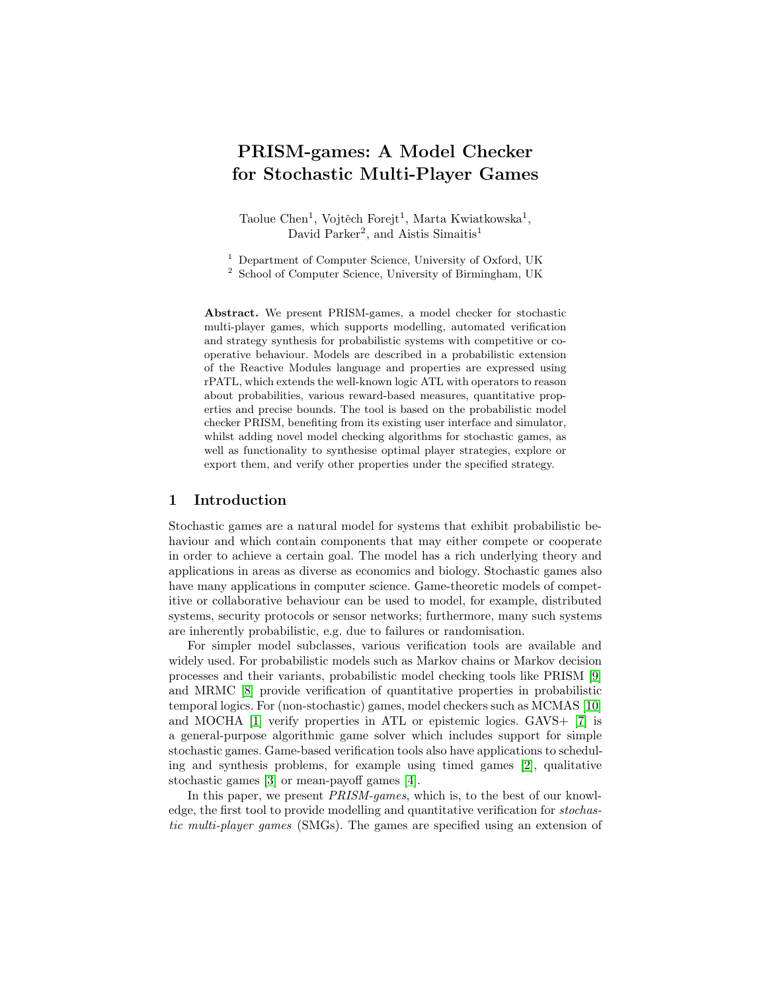# PRISM-games: A Model Checker for Stochastic Multi-Player Games

Taolue Chen<sup>1</sup>, Vojtěch Forejt<sup>1</sup>, Marta Kwiatkowska<sup>1</sup>, David Parker<sup>2</sup>, and Aistis Simaitis<sup>1</sup>

<sup>1</sup> Department of Computer Science, University of Oxford, UK<br><sup>2</sup> School of Computer Science, University of Birmingham, UK

<sup>2</sup> School of Computer Science, University of Birmingham, UK

Abstract. We present PRISM-games, a model checker for stochastic multi-player games, which supports modelling, automated verification and strategy synthesis for probabilistic systems with competitive or cooperative behaviour. Models are described in a probabilistic extension of the Reactive Modules language and properties are expressed using rPATL, which extends the well-known logic ATL with operators to reason about probabilities, various reward-based measures, quantitative properties and precise bounds. The tool is based on the probabilistic model checker PRISM, benefiting from its existing user interface and simulator, whilst adding novel model checking algorithms for stochastic games, as well as functionality to synthesise optimal player strategies, explore or export them, and verify other properties under the specified strategy.

#### 1 Introduction

Stochastic games are a natural model for systems that exhibit probabilistic behaviour and which contain components that may either compete or cooperate in order to achieve a certain goal. The model has a rich underlying theory and applications in areas as diverse as economics and biology. Stochastic games also have many applications in computer science. Game-theoretic models of competitive or collaborative behaviour can be used to model, for example, distributed systems, security protocols or sensor networks; furthermore, many such systems are inherently probabilistic, e.g. due to failures or randomisation.

For simpler model subclasses, various verification tools are available and widely used. For probabilistic models such as Markov chains or Markov decision processes and their variants, probabilistic model checking tools like PRISM [\[9\]](#page-5-0) and MRMC [\[8\]](#page-5-1) provide verification of quantitative properties in probabilistic temporal logics. For (non-stochastic) games, model checkers such as MCMAS [\[10\]](#page-5-2) and MOCHA [\[1\]](#page-5-3) verify properties in ATL or epistemic logics. GAVS+ [\[7\]](#page-5-4) is a general-purpose algorithmic game solver which includes support for simple stochastic games. Game-based verification tools also have applications to scheduling and synthesis problems, for example using timed games [\[2\]](#page-5-5), qualitative stochastic games [\[3\]](#page-5-6) or mean-payoff games [\[4\]](#page-5-7).

In this paper, we present *PRISM-games*, which is, to the best of our knowledge, the first tool to provide modelling and quantitative verification for stochastic multi-player games (SMGs). The games are specified using an extension of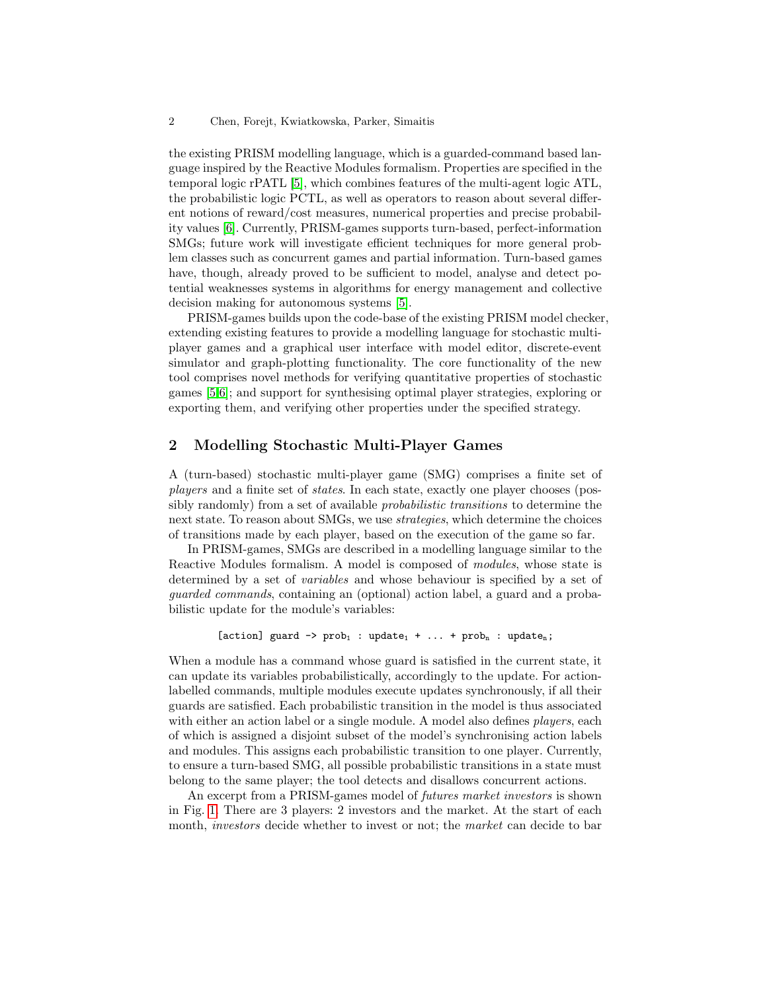#### 2 Chen, Forejt, Kwiatkowska, Parker, Simaitis

the existing PRISM modelling language, which is a guarded-command based language inspired by the Reactive Modules formalism. Properties are specified in the temporal logic rPATL [\[5\]](#page-5-8), which combines features of the multi-agent logic ATL, the probabilistic logic PCTL, as well as operators to reason about several different notions of reward/cost measures, numerical properties and precise probability values [\[6\]](#page-5-9). Currently, PRISM-games supports turn-based, perfect-information SMGs; future work will investigate efficient techniques for more general problem classes such as concurrent games and partial information. Turn-based games have, though, already proved to be sufficient to model, analyse and detect potential weaknesses systems in algorithms for energy management and collective decision making for autonomous systems [\[5\]](#page-5-8).

PRISM-games builds upon the code-base of the existing PRISM model checker, extending existing features to provide a modelling language for stochastic multiplayer games and a graphical user interface with model editor, discrete-event simulator and graph-plotting functionality. The core functionality of the new tool comprises novel methods for verifying quantitative properties of stochastic games [\[5](#page-5-8)[,6\]](#page-5-9); and support for synthesising optimal player strategies, exploring or exporting them, and verifying other properties under the specified strategy.

## 2 Modelling Stochastic Multi-Player Games

A (turn-based) stochastic multi-player game (SMG) comprises a finite set of players and a finite set of states. In each state, exactly one player chooses (possibly randomly) from a set of available probabilistic transitions to determine the next state. To reason about SMGs, we use strategies, which determine the choices of transitions made by each player, based on the execution of the game so far.

In PRISM-games, SMGs are described in a modelling language similar to the Reactive Modules formalism. A model is composed of modules, whose state is determined by a set of variables and whose behaviour is specified by a set of guarded commands, containing an (optional) action label, a guard and a probabilistic update for the module's variables:

```
[action] guard \rightarrow prob<sub>1</sub> : update<sub>1</sub> + ... + prob<sub>n</sub> : update<sub>n</sub>;
```
When a module has a command whose guard is satisfied in the current state, it can update its variables probabilistically, accordingly to the update. For actionlabelled commands, multiple modules execute updates synchronously, if all their guards are satisfied. Each probabilistic transition in the model is thus associated with either an action label or a single module. A model also defines *players*, each of which is assigned a disjoint subset of the model's synchronising action labels and modules. This assigns each probabilistic transition to one player. Currently, to ensure a turn-based SMG, all possible probabilistic transitions in a state must belong to the same player; the tool detects and disallows concurrent actions.

An excerpt from a PRISM-games model of futures market investors is shown in Fig. [1.](#page-2-0) There are 3 players: 2 investors and the market. At the start of each month, *investors* decide whether to invest or not; the *market* can decide to bar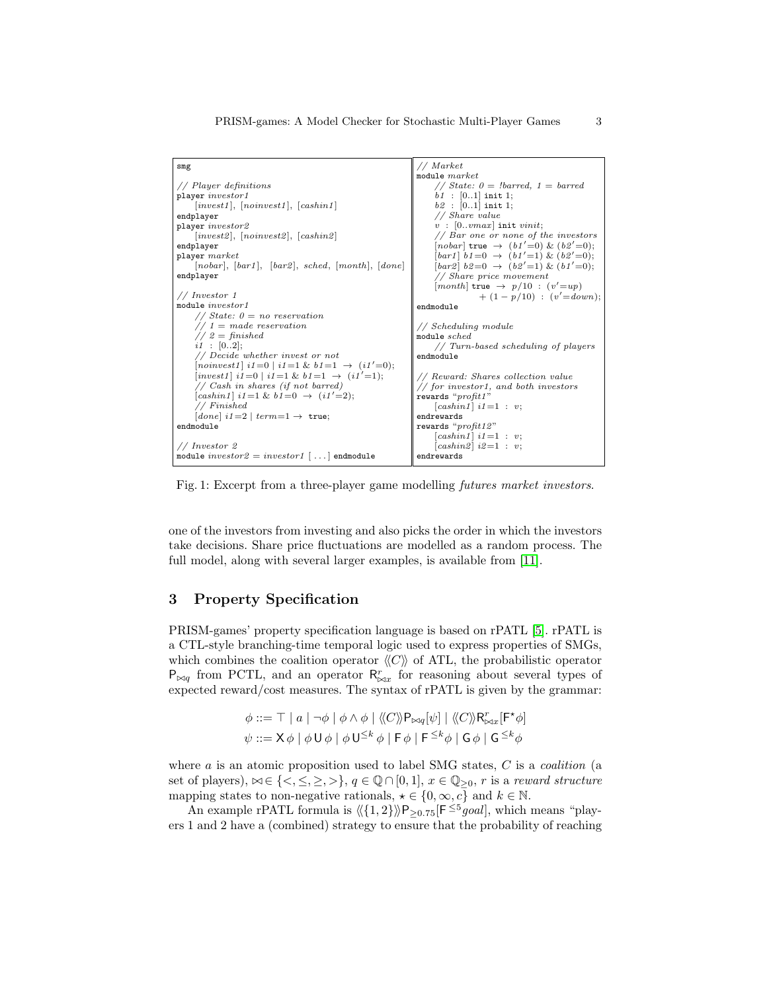<span id="page-2-0"></span>

| smg                                                           | $//$ Market                                                                                                      |
|---------------------------------------------------------------|------------------------------------------------------------------------------------------------------------------|
|                                                               | module $market$                                                                                                  |
| // Player definitions                                         | // State: $0 =$ !barred, $1 =$ barred                                                                            |
| player investor1                                              | $b1$ : [0.1] init 1;                                                                                             |
| invest1 ,  noinvest1 ,  cashin1                               | $b2$ : [01] init 1;                                                                                              |
| endplayer                                                     | $//$ Share value                                                                                                 |
| player <i>investor2</i>                                       | $v$ : [0vmax] init vinit;                                                                                        |
| invest2 ,  noinvest2 ,  cashin2                               | $//$ Bar one or none of the investors                                                                            |
| endplayer                                                     | $[nobar]$ true $\rightarrow$ $(b1'=0)$ & $(b2'=0);$                                                              |
| player market                                                 | $\left[ \frac{bar1}{b} \right] b1 = 0 \rightarrow \left( \frac{b1}{-1} \right) \& \left( \frac{b2}{-0} \right);$ |
| $[nobar], [bar1], [bar2], sched, [month], [done]$             | $\lceil bar2 \rceil b2 = 0 \rightarrow (b2' = 1) \& (b1' = 0);$                                                  |
| endplayer                                                     | // Share price movement                                                                                          |
|                                                               | $[month]$ true $\rightarrow p/10$ : $(v'=up)$                                                                    |
| $//$ Investor 1                                               | $+(1-p/10)$ : $(v'=down)$ ;                                                                                      |
| module investor1                                              | endmodule                                                                                                        |
| // State: $0 = no$ reservation                                |                                                                                                                  |
| $// 1 = made reservation$                                     | // Scheduling module                                                                                             |
| $// 2 = finished$                                             | module sched                                                                                                     |
| $i1$ : [02];                                                  | // Turn-based scheduling of players                                                                              |
| // Decide whether invest or not                               | endmodule                                                                                                        |
| $[noinvest1]$ i1=0   i1=1 & b1=1 $\rightarrow$ (i1'=0);       |                                                                                                                  |
| $[invest1]$ $i1=0$   $i1=1$ & $b1=1$ $\rightarrow$ $(i1'=1);$ | // Reward: Shares collection value                                                                               |
| // Cash in shares (if not barred)                             | // for investor1, and both investors                                                                             |
| $[cashin1]$ i1=1 & b1=0 $\rightarrow$ (i1'=2);                | rewards " $profit1"$                                                                                             |
| $//$ Finished                                                 | $\lfloor cashin1 \rfloor$ i1=1 : v;                                                                              |
| $[done]$ $i1=2$ $ $ $term=1 \rightarrow$ true;                | endrewards                                                                                                       |
| endmodule                                                     | rewards "profit12"                                                                                               |
|                                                               | $\lfloor cashin1 \rfloor$ i1=1 : v;                                                                              |
| $//$ Investor 2                                               | $[cash in 2] i2=1 : v;$                                                                                          |
| module $investor2 = investor1$ [] endmodule                   | endrewards                                                                                                       |
|                                                               |                                                                                                                  |

Fig. 1: Excerpt from a three-player game modelling futures market investors.

one of the investors from investing and also picks the order in which the investors take decisions. Share price fluctuations are modelled as a random process. The full model, along with several larger examples, is available from [\[11\]](#page-5-10).

## 3 Property Specification

PRISM-games' property specification language is based on rPATL [\[5\]](#page-5-8). rPATL is a CTL-style branching-time temporal logic used to express properties of SMGs, which combines the coalition operator  $\langle\langle C\rangle\rangle$  of ATL, the probabilistic operator  $P_{\bowtie q}$  from PCTL, and an operator  $R^r_{\bowtie x}$  for reasoning about several types of expected reward/cost measures. The syntax of rPATL is given by the grammar:

$$
\phi ::= \top | a | \neg \phi | \phi \land \phi | \langle\langle C \rangle \rangle \mathsf{P}_{\bowtie q}[\psi] | \langle\langle C \rangle \rangle \mathsf{R}_{\bowtie x}^r[\mathsf{F}^{\star} \phi]
$$
  

$$
\psi ::= \mathsf{X} \phi | \phi \mathsf{U} \phi | \phi \mathsf{U}^{\leq k} \phi | \mathsf{F} \phi | \mathsf{F}^{\leq k} \phi | \mathsf{G} \phi | \mathsf{G}^{\leq k} \phi
$$

where  $a$  is an atomic proposition used to label SMG states,  $C$  is a *coalition* (a set of players),  $\bowtie \in \{<,\leq, \geq, >\}, q \in \mathbb{Q} \cap [0,1], x \in \mathbb{Q}_{\geq 0}, r$  is a reward structure mapping states to non-negative rationals,  $\star \in \{0, \infty, c\}$  and  $k \in \mathbb{N}$ .

An example rPATL formula is  $\langle \langle 1, 2 \rangle \rangle$ P<sub>≥0.75</sub>[F<sup>≤5</sup>*goal*], which means "players 1 and 2 have a (combined) strategy to ensure that the probability of reaching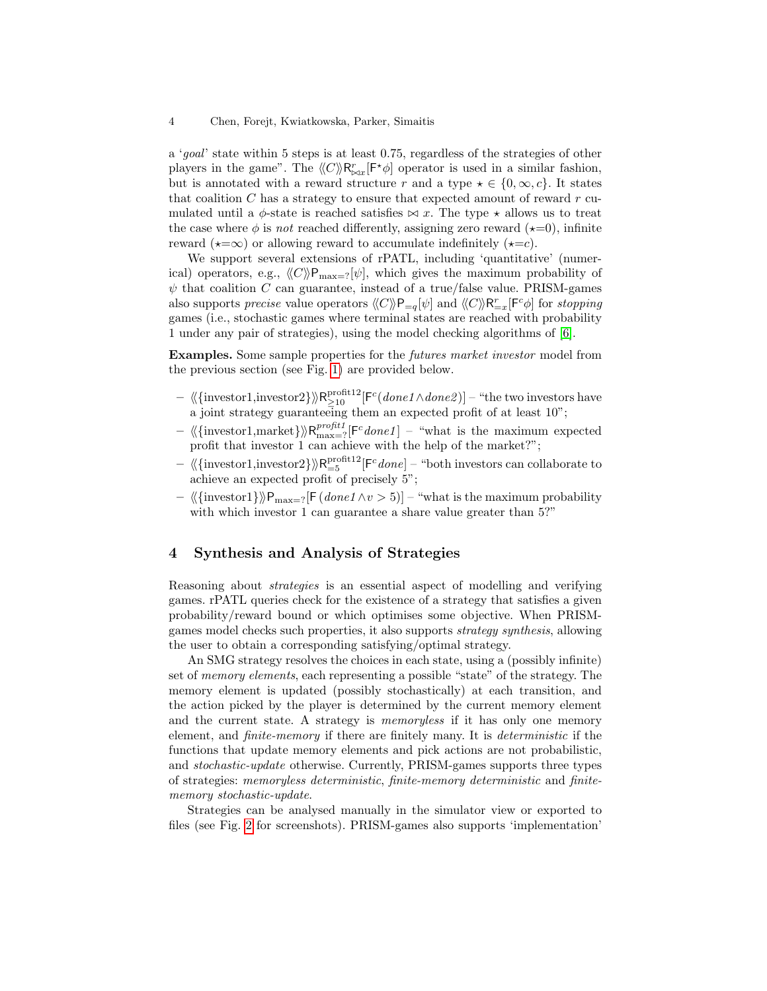a 'goal' state within 5 steps is at least 0.75, regardless of the strategies of other players in the game". The  $\langle C \rangle \langle R^r_{\bowtie x}[\mathsf{F}^{\star} \phi]$  operator is used in a similar fashion, but is annotated with a reward structure r and a type  $\star \in \{0,\infty,c\}$ . It states that coalition  $C$  has a strategy to ensure that expected amount of reward  $r$  cumulated until a  $\phi$ -state is reached satisfies  $\bowtie$  x. The type  $\star$  allows us to treat the case where  $\phi$  is not reached differently, assigning zero reward ( $\star=0$ ), infinite reward ( $\star = \infty$ ) or allowing reward to accumulate indefinitely ( $\star = c$ ).

We support several extensions of rPATL, including 'quantitative' (numerical) operators, e.g.,  $\langle C \rangle \mathsf{P}_{\text{max}=?}[\psi]$ , which gives the maximum probability of  $\psi$  that coalition C can guarantee, instead of a true/false value. PRISM-games also supports *precise* value operators  $\langle C \rangle P_{=q}[\psi]$  and  $\langle C \rangle P_{=x}^r[F^c \phi]$  for *stopping* games (i.e., stochastic games where terminal states are reached with probability 1 under any pair of strategies), using the model checking algorithms of [\[6\]](#page-5-9).

Examples. Some sample properties for the futures market investor model from the previous section (see Fig. [1\)](#page-2-0) are provided below.

- $\langle\langle \{\text{investor1}, \text{investor2}\} \rangle\rangle \mathsf{R}_{\geq 10}^{\text{profit12}} [\mathsf{F}^c(\textit{done1} \wedge \textit{done2})]$  "the two investors have a joint strategy guaranteeing them an expected profit of at least 10";
- $\langle\langle\{\text{investor1},\text{market}\}\rangle\rangle\mathsf{R}^{profit}_{\text{max}=?}[\mathsf{F}^{c}done1]$  "what is the maximum expected profit that investor 1 can achieve with the help of the market?";
- $\langle \langle \{ \text{investor1}, \text{investor2} \} \rangle \rangle \mathsf{R}_{=5}^{\text{profit12}} [\mathsf{F}^c \text{done}] -$  "both investors can collaborate to achieve an expected profit of precisely 5";
- $\langle \{\text{investor1}\}\rangle\mathbb{P}_{\text{max}=?}[F(done1 \land v > 5)]$  "what is the maximum probability with which investor 1 can guarantee a share value greater than  $5$ ?"

# 4 Synthesis and Analysis of Strategies

Reasoning about strategies is an essential aspect of modelling and verifying games. rPATL queries check for the existence of a strategy that satisfies a given probability/reward bound or which optimises some objective. When PRISMgames model checks such properties, it also supports strategy synthesis, allowing the user to obtain a corresponding satisfying/optimal strategy.

An SMG strategy resolves the choices in each state, using a (possibly infinite) set of *memory elements*, each representing a possible "state" of the strategy. The memory element is updated (possibly stochastically) at each transition, and the action picked by the player is determined by the current memory element and the current state. A strategy is *memoryless* if it has only one memory element, and *finite-memory* if there are finitely many. It is *deterministic* if the functions that update memory elements and pick actions are not probabilistic, and stochastic-update otherwise. Currently, PRISM-games supports three types of strategies: memoryless deterministic, finite-memory deterministic and finitememory stochastic-update.

Strategies can be analysed manually in the simulator view or exported to files (see Fig. [2](#page-4-0) for screenshots). PRISM-games also supports 'implementation'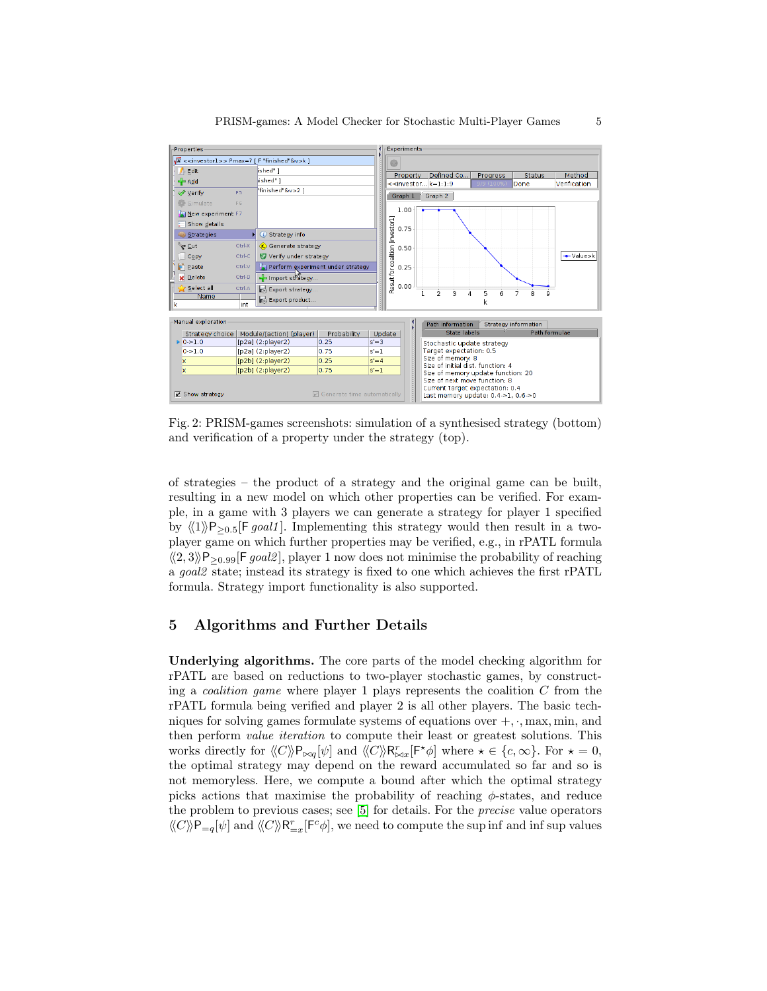<span id="page-4-0"></span>

| Properties                                                                  | Experiments                                                                                                   |  |  |  |  |
|-----------------------------------------------------------------------------|---------------------------------------------------------------------------------------------------------------|--|--|--|--|
| $\sqrt{x}$ < <investor1>&gt; Pmax=? [ F "finished"&amp;v&gt;k ]</investor1> |                                                                                                               |  |  |  |  |
| ished" 1<br>Edit                                                            | Defined Co<br>Property<br>Method<br>Progress<br><b>Status</b>                                                 |  |  |  |  |
| ished" 1<br>Add                                                             | $\le$ investor $k=1:1:9$<br>Verification<br>Done<br>9/9 (100%                                                 |  |  |  |  |
| finished &v>2 1<br>Verify<br>F5                                             | Graph 1<br>Graph 2                                                                                            |  |  |  |  |
| Simulate<br>F <sub>6</sub>                                                  |                                                                                                               |  |  |  |  |
| New experiment F7                                                           | 1.00                                                                                                          |  |  |  |  |
| Show details                                                                |                                                                                                               |  |  |  |  |
| Strategy info<br><b>Strategies</b><br>ω                                     | Result for coalition [investor1]<br>0.75                                                                      |  |  |  |  |
| Ctrl-X<br>`ଙ ⊆ut<br>Generate strategy                                       | 0.50                                                                                                          |  |  |  |  |
| Verify under strategy<br>Ctrl-C<br>Copy                                     | +Value>k                                                                                                      |  |  |  |  |
| n<br>Perform experiment under strategy<br>Paste<br>Ctrl-V                   | 0.25                                                                                                          |  |  |  |  |
| <b>X</b> Delete<br>Ctrl-D<br>Import strategy                                |                                                                                                               |  |  |  |  |
| Select all<br>Ctrl-A<br>Export strategy                                     | 0.00                                                                                                          |  |  |  |  |
| Name<br>Export product                                                      | $\overline{2}$<br>3<br>5<br>7<br>8<br>4<br>6<br>9<br>k                                                        |  |  |  |  |
| k<br>lint                                                                   |                                                                                                               |  |  |  |  |
| Manual exploration                                                          | Path information<br>Strategy information                                                                      |  |  |  |  |
| Strategy choice   Module/[action] (player)<br>Probability                   | b<br><b>State labels</b><br><b>Path formulae</b><br>Update                                                    |  |  |  |  |
| 0.51.0<br>[p2a] (2:player2)<br>$s = 3$<br>0.25                              | Stochastic update strategy                                                                                    |  |  |  |  |
| 0 > 1.0<br>[p2a] (2:player2)<br>0.75<br>$s'=1$                              | Target expectation: 0.5                                                                                       |  |  |  |  |
| [p2b] (2:player2)<br>0.25<br>$s' = 4$<br>x                                  | Size of memory: 8<br>Size of initial dist. function: 4                                                        |  |  |  |  |
| [p2b] (2:player2)<br>0.75<br>$s'=1$<br>x                                    | Size of memory update function: 20                                                                            |  |  |  |  |
| Show strategy<br>$\triangledown$ Generate time automatically                | Size of next move function: 8<br>Current target expectation: 0.4<br>Last memory update: $0.4 > 1$ , $0.6 > 0$ |  |  |  |  |

Fig. 2: PRISM-games screenshots: simulation of a synthesised strategy (bottom) and verification of a property under the strategy (top).

of strategies – the product of a strategy and the original game can be built, resulting in a new model on which other properties can be verified. For example, in a game with 3 players we can generate a strategy for player 1 specified by  $\langle \langle 1 \rangle P_{\geq 0.5}$ [F goal1]. Implementing this strategy would then result in a twoplayer game on which further properties may be verified, e.g., in rPATL formula  $\langle 2, 3 \rangle P_{\geq 0.99}$ [F goal2], player 1 now does not minimise the probability of reaching a goal2 state; instead its strategy is fixed to one which achieves the first rPATL formula. Strategy import functionality is also supported.

#### 5 Algorithms and Further Details

Underlying algorithms. The core parts of the model checking algorithm for rPATL are based on reductions to two-player stochastic games, by constructing a *coalition game* where player 1 plays represents the coalition  $C$  from the rPATL formula being verified and player 2 is all other players. The basic techniques for solving games formulate systems of equations over  $+$ ,  $\cdot$ , max, min, and then perform *value iteration* to compute their least or greatest solutions. This works directly for  $\langle C \rangle \mathsf{P}_{\bowtie q}[\psi]$  and  $\langle C \rangle \mathsf{R}_{\bowtie x}^r[\mathsf{F}^*\phi]$  where  $\star \in \{c, \infty\}$ . For  $\star = 0$ , the optimal strategy may depend on the reward accumulated so far and so is not memoryless. Here, we compute a bound after which the optimal strategy picks actions that maximise the probability of reaching  $\phi$ -states, and reduce the problem to previous cases; see [\[5\]](#page-5-8) for details. For the precise value operators  $\langle\!\langle C\rangle\!\rangle{\sf P}_{=q}[\psi]$  and  $\langle\!\langle C\rangle\!\rangle{\sf R}_{=x}^r[{\sf F}^c\phi],$  we need to compute the sup inf and inf sup values